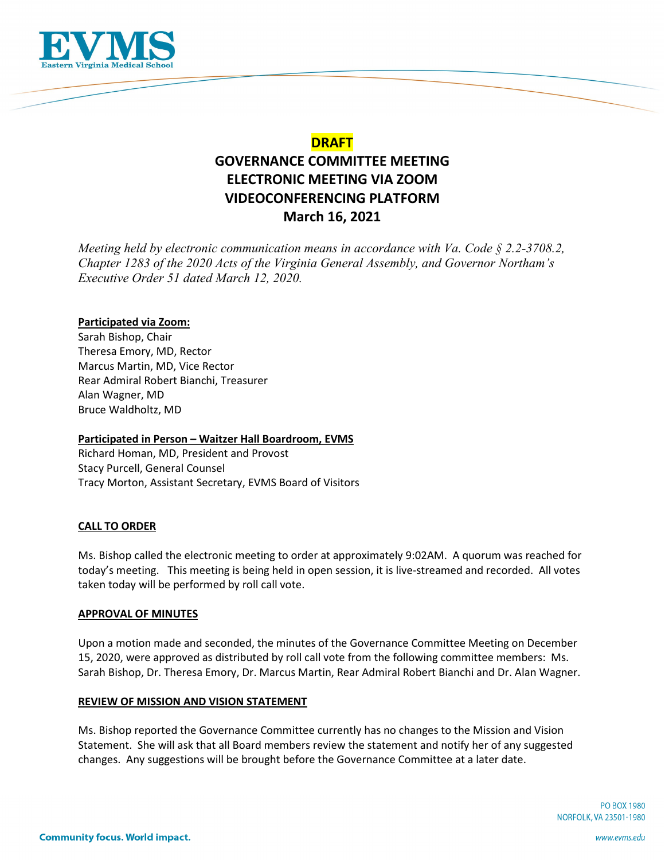

## **DRAFT**

# **GOVERNANCE COMMITTEE MEETING ELECTRONIC MEETING VIA ZOOM VIDEOCONFERENCING PLATFORM March 16, 2021**

*Meeting held by electronic communication means in accordance with Va. Code § 2.2-3708.2, Chapter 1283 of the 2020 Acts of the Virginia General Assembly, and Governor Northam's Executive Order 51 dated March 12, 2020.*

## **Participated via Zoom:**

Sarah Bishop, Chair Theresa Emory, MD, Rector Marcus Martin, MD, Vice Rector Rear Admiral Robert Bianchi, Treasurer Alan Wagner, MD Bruce Waldholtz, MD

## **Participated in Person – Waitzer Hall Boardroom, EVMS**

Richard Homan, MD, President and Provost Stacy Purcell, General Counsel Tracy Morton, Assistant Secretary, EVMS Board of Visitors

## **CALL TO ORDER**

Ms. Bishop called the electronic meeting to order at approximately 9:02AM. A quorum was reached for today's meeting. This meeting is being held in open session, it is live-streamed and recorded. All votes taken today will be performed by roll call vote.

#### **APPROVAL OF MINUTES**

Upon a motion made and seconded, the minutes of the Governance Committee Meeting on December 15, 2020, were approved as distributed by roll call vote from the following committee members: Ms. Sarah Bishop, Dr. Theresa Emory, Dr. Marcus Martin, Rear Admiral Robert Bianchi and Dr. Alan Wagner.

#### **REVIEW OF MISSION AND VISION STATEMENT**

Ms. Bishop reported the Governance Committee currently has no changes to the Mission and Vision Statement. She will ask that all Board members review the statement and notify her of any suggested changes. Any suggestions will be brought before the Governance Committee at a later date.

> **PO BOX 1980** NORFOLK, VA 23501-1980